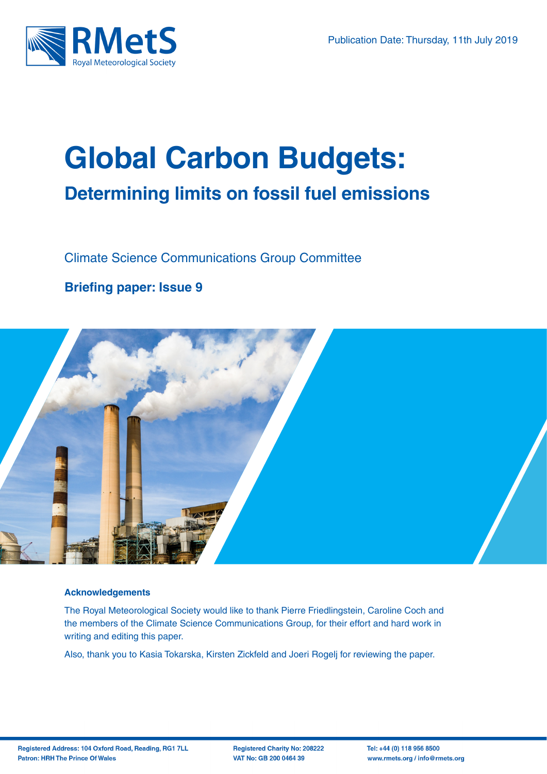

# **Global Carbon Budgets: Determining limits on fossil fuel emissions**

Climate Science Communications Group Committee

### **Briefing paper: Issue 9**



#### **Acknowledgements**

The Royal Meteorological Society would like to thank Pierre Friedlingstein, Caroline Coch and the members of the Climate Science Communications Group, for their effort and hard work in writing and editing this paper.

Also, thank you to Kasia Tokarska, Kirsten Zickfeld and Joeri Rogelj for reviewing the paper.